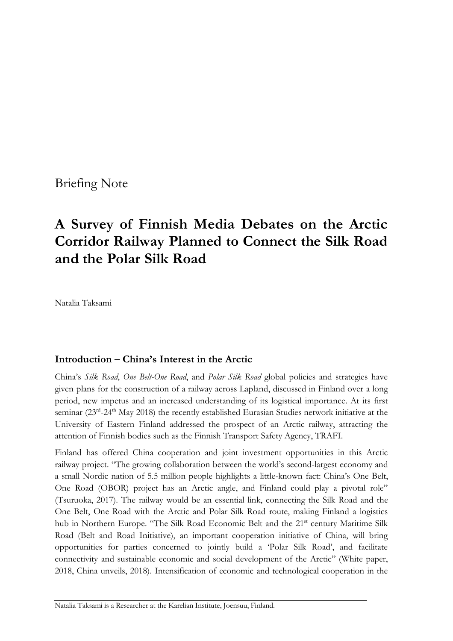Briefing Note

# **A Survey of Finnish Media Debates on the Arctic Corridor Railway Planned to Connect the Silk Road and the Polar Silk Road**

Natalia Taksami

# **Introduction – China's Interest in the Arctic**

China's *Silk Road*, *One Belt-One Road*, and *Polar Silk Road* global policies and strategies have given plans for the construction of a railway across Lapland, discussed in Finland over a long period, new impetus and an increased understanding of its logistical importance. At its first seminar (23<sup>rd</sup>-24<sup>th</sup> May 2018) the recently established Eurasian Studies network initiative at the University of Eastern Finland addressed the prospect of an Arctic railway, attracting the attention of Finnish bodies such as the Finnish Transport Safety Agency, TRAFI.

Finland has offered China cooperation and joint investment opportunities in this Arctic railway project. "The growing collaboration between the world's second-largest economy and a small Nordic nation of 5.5 million people highlights a little-known fact: China's One Belt, One Road (OBOR) project has an Arctic angle, and Finland could play a pivotal role" (Tsuruoka, 2017). The railway would be an essential link, connecting the Silk Road and the One Belt, One Road with the Arctic and Polar Silk Road route, making Finland a logistics hub in Northern Europe. "The Silk Road Economic Belt and the 21<sup>st</sup> century Maritime Silk Road (Belt and Road Initiative), an important cooperation initiative of China, will bring opportunities for parties concerned to jointly build a 'Polar Silk Road', and facilitate connectivity and sustainable economic and social development of the Arctic" (White paper, 2018, China unveils, 2018). Intensification of economic and technological cooperation in the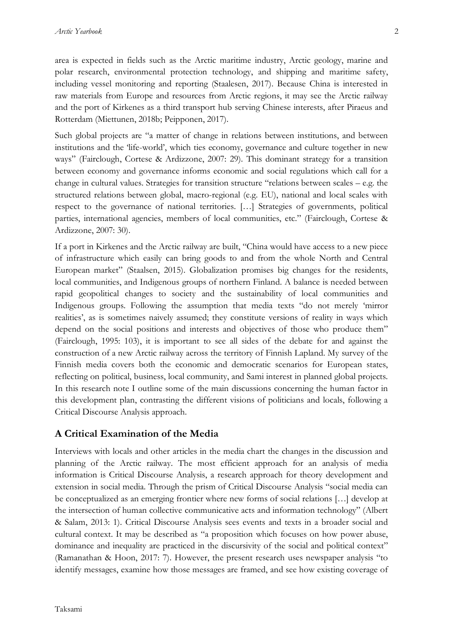area is expected in fields such as the Arctic maritime industry, Arctic geology, marine and polar research, environmental protection technology, and shipping and maritime safety, including vessel monitoring and reporting (Staalesen, 2017). Because China is interested in raw materials from Europe and resources from Arctic regions, it may see the Arctic railway and the port of Kirkenes as a third transport hub serving Chinese interests, after Piraeus and Rotterdam (Miettunen, 2018b; Peipponen, 2017).

Such global projects are "a matter of change in relations between institutions, and between institutions and the 'life-world', which ties economy, governance and culture together in new ways" (Fairclough, Cortese & Ardizzone, 2007: 29). This dominant strategy for a transition between economy and governance informs economic and social regulations which call for a change in cultural values. Strategies for transition structure "relations between scales – e.g. the structured relations between global, macro-regional (e.g. EU), national and local scales with respect to the governance of national territories. […] Strategies of governments, political parties, international agencies, members of local communities, etc." (Fairclough, Cortese & Ardizzone, 2007: 30).

If a port in Kirkenes and the Arctic railway are built, "China would have access to a new piece of infrastructure which easily can bring goods to and from the whole North and Central European market" (Staalsen, 2015). Globalization promises big changes for the residents, local communities, and Indigenous groups of northern Finland. A balance is needed between rapid geopolitical changes to society and the sustainability of local communities and Indigenous groups. Following the assumption that media texts "do not merely 'mirror realities', as is sometimes naively assumed; they constitute versions of reality in ways which depend on the social positions and interests and objectives of those who produce them" (Fairclough, 1995: 103), it is important to see all sides of the debate for and against the construction of a new Arctic railway across the territory of Finnish Lapland. My survey of the Finnish media covers both the economic and democratic scenarios for European states, reflecting on political, business, local community, and Sami interest in planned global projects. In this research note I outline some of the main discussions concerning the human factor in this development plan, contrasting the different visions of politicians and locals, following a Critical Discourse Analysis approach.

# **A Critical Examination of the Media**

Interviews with locals and other articles in the media chart the changes in the discussion and planning of the Arctic railway. The most efficient approach for an analysis of media information is Critical Discourse Analysis, a research approach for theory development and extension in social media. Through the prism of Critical Discourse Analysis "social media can be conceptualized as an emerging frontier where new forms of social relations […] develop at the intersection of human collective communicative acts and information technology" (Albert & Salam, 2013: 1). Critical Discourse Analysis sees events and texts in a broader social and cultural context. It may be described as "a proposition which focuses on how power abuse, dominance and inequality are practiced in the discursivity of the social and political context" (Ramanathan & Hoon, 2017: 7). However, the present research uses newspaper analysis "to identify messages, examine how those messages are framed, and see how existing coverage of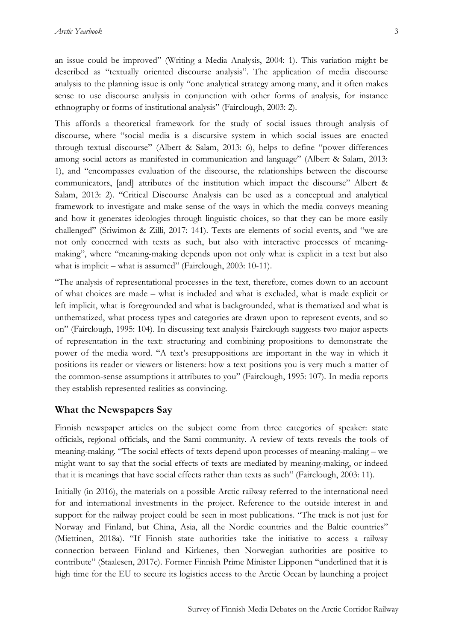an issue could be improved" (Writing a Media Analysis, 2004: 1). This variation might be described as "textually oriented discourse analysis". The application of media discourse analysis to the planning issue is only "one analytical strategy among many, and it often makes sense to use discourse analysis in conjunction with other forms of analysis, for instance ethnography or forms of institutional analysis" (Fairclough, 2003: 2).

This affords a theoretical framework for the study of social issues through analysis of discourse, where "social media is a discursive system in which social issues are enacted through textual discourse" (Albert & Salam, 2013: 6), helps to define "power differences among social actors as manifested in communication and language" (Albert & Salam, 2013: 1), and "encompasses evaluation of the discourse, the relationships between the discourse communicators, [and] attributes of the institution which impact the discourse" Albert & Salam, 2013: 2). "Critical Discourse Analysis can be used as a conceptual and analytical framework to investigate and make sense of the ways in which the media conveys meaning and how it generates ideologies through linguistic choices, so that they can be more easily challenged" (Sriwimon & Zilli, 2017: 141). Texts are elements of social events, and "we are not only concerned with texts as such, but also with interactive processes of meaningmaking", where "meaning-making depends upon not only what is explicit in a text but also what is implicit – what is assumed" (Fairclough, 2003: 10-11).

"The analysis of representational processes in the text, therefore, comes down to an account of what choices are made – what is included and what is excluded, what is made explicit or left implicit, what is foregrounded and what is backgrounded, what is thematized and what is unthematized, what process types and categories are drawn upon to represent events, and so on" (Fairclough, 1995: 104). In discussing text analysis Fairclough suggests two major aspects of representation in the text: structuring and combining propositions to demonstrate the power of the media word. "A text's presuppositions are important in the way in which it positions its reader or viewers or listeners: how a text positions you is very much a matter of the common-sense assumptions it attributes to you" (Fairclough, 1995: 107). In media reports they establish represented realities as convincing.

# **What the Newspapers Say**

Finnish newspaper articles on the subject come from three categories of speaker: state officials, regional officials, and the Sami community. A review of texts reveals the tools of meaning-making. "The social effects of texts depend upon processes of meaning-making – we might want to say that the social effects of texts are mediated by meaning-making, or indeed that it is meanings that have social effects rather than texts as such" (Fairclough, 2003: 11).

Initially (in 2016), the materials on a possible Arctic railway referred to the international need for and international investments in the project. Reference to the outside interest in and support for the railway project could be seen in most publications. "The track is not just for Norway and Finland, but China, Asia, all the Nordic countries and the Baltic countries" (Miettinen, 2018a). "If Finnish state authorities take the initiative to access a railway connection between Finland and Kirkenes, then Norwegian authorities are positive to contribute" (Staalesen, 2017c). Former Finnish Prime Minister Lipponen "underlined that it is high time for the EU to secure its logistics access to the Arctic Ocean by launching a project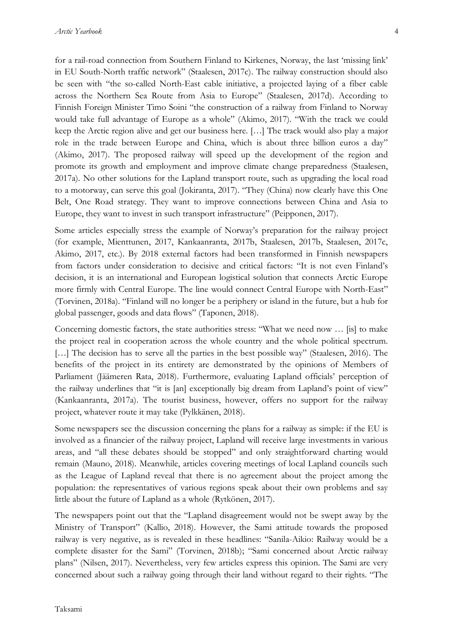for a rail-road connection from Southern Finland to Kirkenes, Norway, the last 'missing link' in EU South-North traffic network" (Staalesen, 2017c). The railway construction should also be seen with "the so-called North-East cable initiative, a projected laying of a fiber cable across the Northern Sea Route from Asia to Europe" (Staalesen, 2017d). According to Finnish Foreign Minister Timo Soini "the construction of a railway from Finland to Norway would take full advantage of Europe as a whole" (Akimo, 2017). "With the track we could keep the Arctic region alive and get our business here. […] The track would also play a major role in the trade between Europe and China, which is about three billion euros a day" (Akimo, 2017). The proposed railway will speed up the development of the region and promote its growth and employment and improve climate change preparedness (Staalesen, 2017a). No other solutions for the Lapland transport route, such as upgrading the local road to a motorway, can serve this goal (Jokiranta, 2017). "They (China) now clearly have this One Belt, One Road strategy. They want to improve connections between China and Asia to Europe, they want to invest in such transport infrastructure" (Peipponen, 2017).

Some articles especially stress the example of Norway's preparation for the railway project (for example, Mienttunen, 2017, Kankaanranta, 2017b, Staalesen, 2017b, Staalesen, 2017c, Akimo, 2017, etc.). By 2018 external factors had been transformed in Finnish newspapers from factors under consideration to decisive and critical factors: "It is not even Finland's decision, it is an international and European logistical solution that connects Arctic Europe more firmly with Central Europe. The line would connect Central Europe with North-East" (Torvinen, 2018a). "Finland will no longer be a periphery or island in the future, but a hub for global passenger, goods and data flows" (Taponen, 2018).

Concerning domestic factors, the state authorities stress: "What we need now … [is] to make the project real in cooperation across the whole country and the whole political spectrum. [...] The decision has to serve all the parties in the best possible way" (Staalesen, 2016). The benefits of the project in its entirety are demonstrated by the opinions of Members of Parliament (Jäämeren Rata, 2018). Furthermore, evaluating Lapland officials' perception of the railway underlines that "it is [an] exceptionally big dream from Lapland's point of view" (Kankaanranta, 2017a). The tourist business, however, offers no support for the railway project, whatever route it may take (Pylkkänen, 2018).

Some newspapers see the discussion concerning the plans for a railway as simple: if the EU is involved as a financier of the railway project, Lapland will receive large investments in various areas, and "all these debates should be stopped" and only straightforward charting would remain (Mauno, 2018). Meanwhile, articles covering meetings of local Lapland councils such as the League of Lapland reveal that there is no agreement about the project among the population: the representatives of various regions speak about their own problems and say little about the future of Lapland as a whole (Rytkönen, 2017).

The newspapers point out that the "Lapland disagreement would not be swept away by the Ministry of Transport" (Kallio, 2018). However, the Sami attitude towards the proposed railway is very negative, as is revealed in these headlines: "Sanila-Aikio: Railway would be a complete disaster for the Sami" (Torvinen, 2018b); "Sami concerned about Arctic railway plans" (Nilsen, 2017). Nevertheless, very few articles express this opinion. The Sami are very concerned about such a railway going through their land without regard to their rights. "The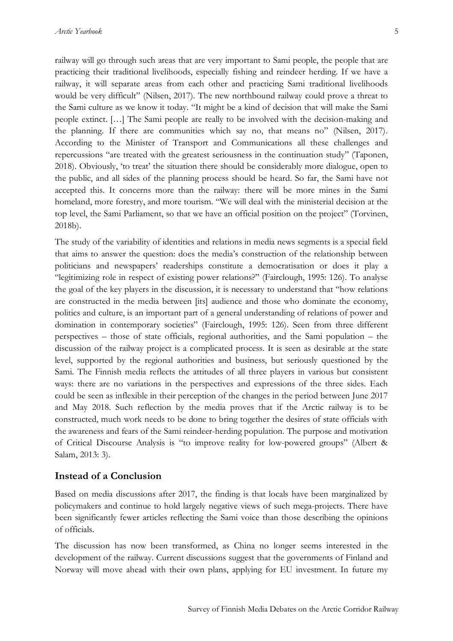railway will go through such areas that are very important to Sami people, the people that are practicing their traditional livelihoods, especially fishing and reindeer herding. If we have a railway, it will separate areas from each other and practicing Sami traditional livelihoods would be very difficult" (Nilsen, 2017). The new northbound railway could prove a threat to the Sami culture as we know it today. "It might be a kind of decision that will make the Sami people extinct. […] The Sami people are really to be involved with the decision-making and the planning. If there are communities which say no, that means no" (Nilsen, 2017). According to the Minister of Transport and Communications all these challenges and repercussions "are treated with the greatest seriousness in the continuation study" (Taponen, 2018). Obviously, 'to treat' the situation there should be considerably more dialogue, open to the public, and all sides of the planning process should be heard. So far, the Sami have not accepted this. It concerns more than the railway: there will be more mines in the Sami homeland, more forestry, and more tourism. "We will deal with the ministerial decision at the top level, the Sami Parliament, so that we have an official position on the project" (Torvinen, 2018b).

The study of the variability of identities and relations in media news segments is a special field that aims to answer the question: does the media's construction of the relationship between politicians and newspapers' readerships constitute a democratisation or does it play a "legitimizing role in respect of existing power relations?" (Fairclough, 1995: 126). To analyse the goal of the key players in the discussion, it is necessary to understand that "how relations are constructed in the media between [its] audience and those who dominate the economy, politics and culture, is an important part of a general understanding of relations of power and domination in contemporary societies" (Fairclough, 1995: 126). Seen from three different perspectives – those of state officials, regional authorities, and the Sami population – the discussion of the railway project is a complicated process. It is seen as desirable at the state level, supported by the regional authorities and business, but seriously questioned by the Sami. The Finnish media reflects the attitudes of all three players in various but consistent ways: there are no variations in the perspectives and expressions of the three sides. Each could be seen as inflexible in their perception of the changes in the period between June 2017 and May 2018. Such reflection by the media proves that if the Arctic railway is to be constructed, much work needs to be done to bring together the desires of state officials with the awareness and fears of the Sami reindeer-herding population. The purpose and motivation of Critical Discourse Analysis is "to improve reality for low-powered groups" (Albert & Salam, 2013: 3).

#### **Instead of a Conclusion**

Based on media discussions after 2017, the finding is that locals have been marginalized by policymakers and continue to hold largely negative views of such mega-projects. There have been significantly fewer articles reflecting the Sami voice than those describing the opinions of officials.

The discussion has now been transformed, as China no longer seems interested in the development of the railway. Current discussions suggest that the governments of Finland and Norway will move ahead with their own plans, applying for EU investment. In future my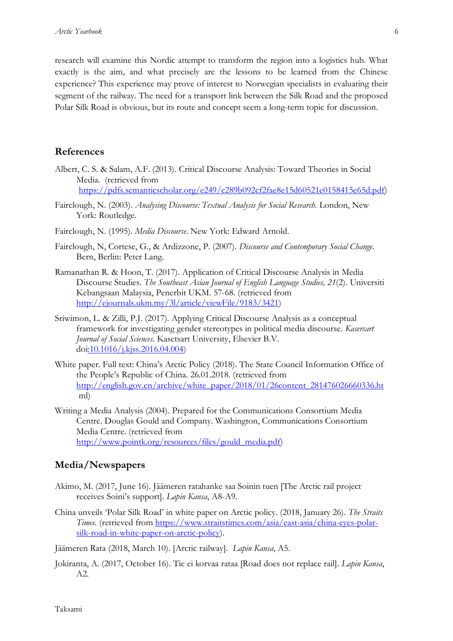research will examine this Nordic attempt to transform the region into a logistics hub. What exactly is the aim, and what precisely are the lessons to be learned from the Chinese experience? This experience may prove of interest to Norwegian specialists in evaluating their segment of the railway. The need for a transport link between the Silk Road and the proposed Polar Silk Road is obvious, but its route and concept seem a long-term topic for discussion.

### **References**

- Albert, C. S. & Salam, A.F. (2013). Critical Discourse Analysis: Toward Theories in Social Media. (retrieved from https://pdfs.semanticscholar.org/e249/c289b092cf2fae8e15d60521e0158415e65d.pdf)
- Fairclough, N. (2003). *Analysing Discourse: Textual Analysis for Social Research.* London, New York: Routledge.
- Fairclough, N. (1995). *Media Discourse*. New York: Edward Arnold.
- Fairclough, N, Cortese, G., & Ardizzone, P. (2007). *Discourse and Contemporary Social Change.* Bern, Berlin: Peter Lang.
- Ramanathan R. & Hoon, T. (2017). Application of Critical Discourse Analysis in Media Discourse Studies. *The Southeast Asian Journal of English Language Studies, 21*(2). Universiti Kebangsaan Malaysia, Penerbit UKM. 57-68. (retrieved from http://ejournals.ukm.my/3l/article/viewFile/9183/3421)
- Sriwimon, L. & Zilli, P.J. (2017). Applying Critical Discourse Analysis as a conceptual framework for investigating gender stereotypes in political media discourse. *Kasersart Journal of Social Sciences*. Kasetsart University, Elsevier B.V. doi:10.1016/j.kjss.2016.04.004)
- White paper. Full text: China's Arctic Policy (2018). The State Council Information Office of the People's Republic of China. 26.01.2018. (retrieved from http://english.gov.cn/archive/white\_paper/2018/01/26content\_281476026660336.ht ml)
- Writing a Media Analysis (2004). Prepared for the Communications Consortium Media Centre. Douglas Gould and Company. Washington, Communications Consortium Media Centre. (retrieved from http://www.pointk.org/resources/files/gould\_media.pdf)

### **Media/Newspapers**

- Akimo, M. (2017, June 16). Jäämeren ratahanke saa Soinin tuen [The Arctic rail project receives Soini's support]. *Lapin Kansa*, A8-A9.
- China unveils 'Polar Silk Road' in white paper on Arctic policy. (2018, January 26). *The Straits Times.* (retrieved from https://www.straitstimes.com/asia/east-asia/china-eyes-polarsilk-road-in-white-paper-on-arctic-policy).

Jäämeren Rata (2018, March 10). [Arctic railway]. *Lapin Kansa*, A5.

Jokiranta, A. (2017, October 16). Tie ei korvaa rataa [Road does not replace rail]. *Lapin Kansa*, A2.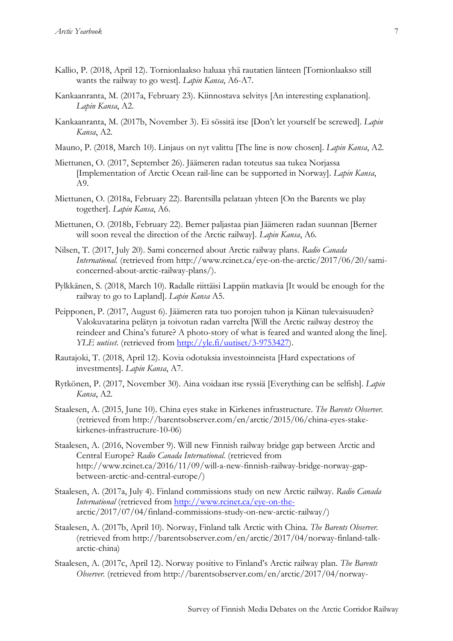- Kallio, P. (2018, April 12). Tornionlaakso haluaa yhä rautatien länteen [Tornionlaakso still wants the railway to go west]. *Lapin Kansa*, A6-A7.
- Kankaanranta, M. (2017a, February 23). Kiinnostava selvitys [An interesting explanation]. *Lapin Kansa*, A2.
- Kankaanranta, M. (2017b, November 3). Ei sössitä itse [Don't let yourself be screwed]. *Lapin Kansa*, A2.
- Mauno, P. (2018, March 10). Linjaus on nyt valittu [The line is now chosen]. *Lapin Kansa*, A2.
- Miettunen, O. (2017, September 26). Jäämeren radan toteutus saa tukea Norjassa [Implementation of Arctic Ocean rail-line can be supported in Norway]. *Lapin Kansa*, A9.
- Miettunen, O. (2018a, February 22). Barentsilla pelataan yhteen [On the Barents we play together]. *Lapin Kansa*, A6.
- Miettunen, O. (2018b, February 22). Berner paljastaa pian Jäämeren radan suunnan [Berner will soon reveal the direction of the Arctic railway]. *Lapin Kansa*, A6.
- Nilsen, T. (2017, July 20). Sami concerned about Arctic railway plans. *Radio Canada International.* (retrieved from http://www.rcinet.ca/eye-on-the-arctic/2017/06/20/samiconcerned-about-arctic-railway-plans/).
- Pylkkänen, S. (2018, March 10). Radalle riittäisi Lappiin matkavia [It would be enough for the railway to go to Lapland]. *Lapin Kansa* A5.
- Peipponen, P. (2017, August 6). Jäämeren rata tuo porojen tuhon ja Kiinan tulevaisuuden? Valokuvatarina pelätyn ja toivotun radan varrelta [Will the Arctic railway destroy the reindeer and China's future? A photo-story of what is feared and wanted along the line]. *YLE uutiset.* (retrieved from http://yle.fi/uutiset/3-9753427).
- Rautajoki, T. (2018, April 12). Kovia odotuksia investoinneista [Hard expectations of investments]. *Lapin Kansa*, A7.
- Rytkönen, P. (2017, November 30). Aina voidaan itse ryssiä [Everything can be selfish]. *Lapin Kansa*, A2.
- Staalesen, A. (2015, June 10). China eyes stake in Kirkenes infrastructure. *The Barents Observer.* (retrieved from http://barentsobserver.com/en/arctic/2015/06/china-eyes-stakekirkenes-infrastructure-10-06)
- Staalesen, A. (2016, November 9). Will new Finnish railway bridge gap between Arctic and Central Europe? *Radio Canada International.* (retrieved from http://www.rcinet.ca/2016/11/09/will-a-new-finnish-railway-bridge-norway-gapbetween-arctic-and-central-europe/)
- Staalesen, A. (2017a, July 4). Finland commissions study on new Arctic railway. *Radio Canada International* (retrieved from http://www.rcinet.ca/eye-on-thearctic/2017/07/04/finland-commissions-study-on-new-arctic-railway/)
- Staalesen, A. (2017b, April 10). Norway, Finland talk Arctic with China. *The Barents Observer.* (retrieved from http://barentsobserver.com/en/arctic/2017/04/norway-finland-talkarctic-china)
- Staalesen, A. (2017c, April 12). Norway positive to Finland's Arctic railway plan. *The Barents Observer.* (retrieved from http://barentsobserver.com/en/arctic/2017/04/norway-